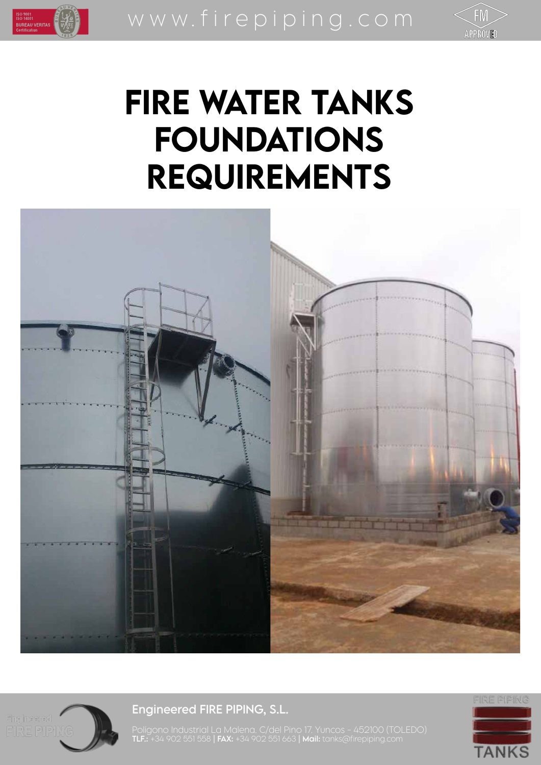



# FIRE WATER TANKS FOUNDATIONS REQUIREMENTS





ISO 9001<br>ISO 14001<br>BUREAU VERITAS

# Engineered FIRE PIPING, S.L.

FIRE PIPING

**TANKS** 

Polígono Industrial La Malena. C/del Pino 17. Yuncos - 452100 (TOLEDO) **TLF.:** +34 902 551 558 | **FAX:** +34 902 551 663 | **Mail:** tanks@firepiping.com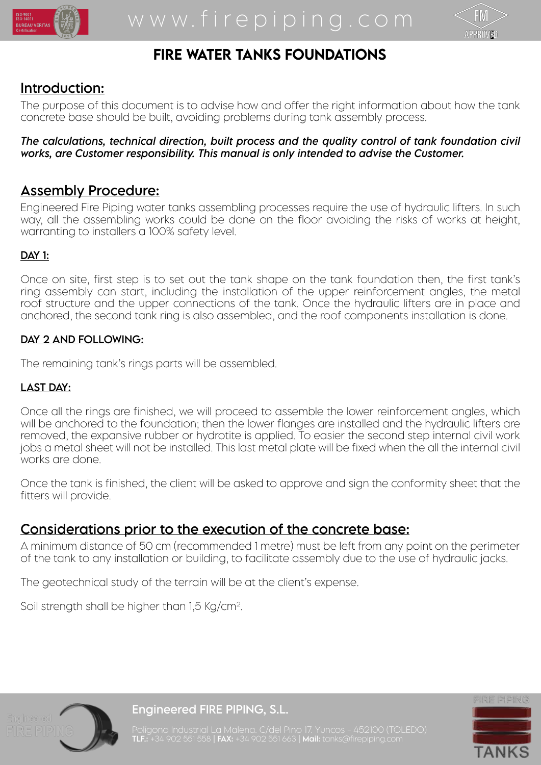



# FIRE WATER TANKS FOUNDATIONS

# Introduction:

The purpose of this document is to advise how and offer the right information about how the tank concrete base should be built, avoiding problems during tank assembly process.

#### *The calculations, technical direction, built process and the quality control of tank foundation civil works, are Customer responsibility. This manual is only intended to advise the Customer.*

## Assembly Procedure:

Engineered Fire Piping water tanks assembling processes require the use of hydraulic lifters. In such way, all the assembling works could be done on the floor avoiding the risks of works at height, warranting to installers a 100% safety level.

#### DAY 1:

Once on site, first step is to set out the tank shape on the tank foundation then, the first tank's ring assembly can start, including the installation of the upper reinforcement angles, the metal roof structure and the upper connections of the tank. Once the hydraulic lifters are in place and anchored, the second tank ring is also assembled, and the roof components installation is done.

#### DAY 2 AND FOLLOWING:

The remaining tank's rings parts will be assembled.

#### LAST DAY:

Once all the rings are finished, we will proceed to assemble the lower reinforcement angles, which will be anchored to the foundation; then the lower flanges are installed and the hydraulic lifters are removed, the expansive rubber or hydrotite is applied. To easier the second step internal civil work jobs a metal sheet will not be installed. This last metal plate will be fixed when the all the internal civil works are done.

Once the tank is finished, the client will be asked to approve and sign the conformity sheet that the fitters will provide.

## Considerations prior to the execution of the concrete base:

A minimum distance of 50 cm (recommended 1 metre) must be left from any point on the perimeter of the tank to any installation or building, to facilitate assembly due to the use of hydraulic jacks.

The geotechnical study of the terrain will be at the client's expense.

Soil strength shall be higher than 1,5 Kg/cm2.



Engineered FIRE PIPING, S.L.



Polígono Industrial La Malena. C/del Pino 17. Yuncos - 452100 (TOLEDO) **TLF.:** +34 902 551 558 | **FAX:** +34 902 551 663 | **Mail:** tanks@firepiping.com